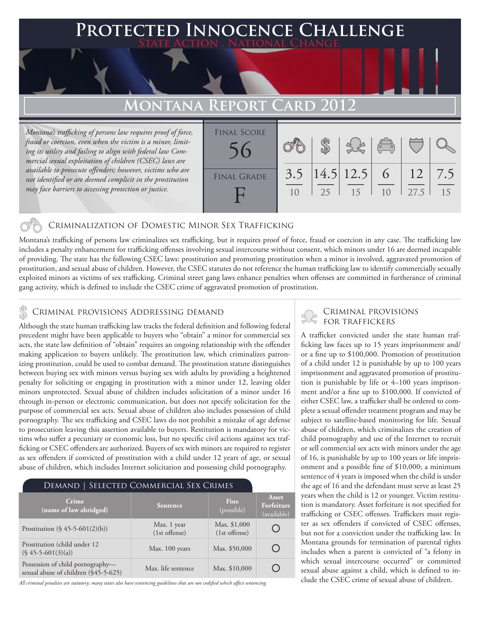### **FED INNOCENCE CHALLENGE State Action . National Change.**

## **MONTANA REPORT CARD 201**

*Montana's trafficking of persons law requires proof of force, fraud or coercion, even when the victim is a minor, limiting its utility and failing to align with federal law Commercial sexual exploitation of children (CSEC) laws are available to prosecute offenders; however, victims who are not identified or are deemed complicit in the prostitution may face barriers to accessing protection or justice.*

| <b>FINAL SCORE</b> |     |    | 38                    | $\begin{pmatrix} 1 & 1 \\ 0 & 1 \end{pmatrix}$ |            |           |
|--------------------|-----|----|-----------------------|------------------------------------------------|------------|-----------|
| <b>FINAL GRADE</b> | 3.5 | 25 | $ 14.5 12.5 $ 6<br>15 | 10                                             | 12<br>27.5 | 7.5<br>15 |

### Criminalization of Domestic Minor Sex Trafficking

Montana's trafficking of persons law criminalizes sex trafficking, but it requires proof of force, fraud or coercion in any case. The trafficking law includes a penalty enhancement for trafficking offenses involving sexual intercourse without consent, which minors under 16 are deemed incapable of providing. The state has the following CSEC laws: prostitution and promoting prostitution when a minor is involved, aggravated promotion of prostitution, and sexual abuse of children. However, the CSEC statutes do not reference the human trafficking law to identify commercially sexually exploited minors as victims of sex trafficking. Criminal street gang laws enhance penalties when offenses are committed in furtherance of criminal gang activity, which is defined to include the CSEC crime of aggravated promotion of prostitution.

### CRIMINAL PROVISIONS ADDRESSING DEMAND

Although the state human trafficking law tracks the federal definition and following federal precedent might have been applicable to buyers who "obtain" a minor for commercial sex acts, the state law definition of "obtain" requires an ongoing relationship with the offender making application to buyers unlikely. The prostitution law, which criminalizes patronizing prostitution, could be used to combat demand. The prostitution statute distinguishes between buying sex with minors versus buying sex with adults by providing a heightened penalty for soliciting or engaging in prostitution with a minor under 12, leaving older minors unprotected. Sexual abuse of children includes solicitation of a minor under 16 through in-person or electronic communication, but does not specify solicitation for the purpose of commercial sex acts. Sexual abuse of children also includes possession of child pornography. The sex trafficking and CSEC laws do not prohibit a mistake of age defense to prosecution leaving this assertion available to buyers. Restitution is mandatory for victims who suffer a pecuniary or economic loss, but no specific civil actions against sex trafficking or CSEC offenders are authorized. Buyers of sex with minors are required to register as sex offenders if convicted of prostitution with a child under 12 years of age, or sexual abuse of children, which includes Internet solicitation and possessing child pornography.

| DEMAND   SELECTED COMMERCIAL SEX CRIMES                                  |                              |                                 |                                    |  |  |  |
|--------------------------------------------------------------------------|------------------------------|---------------------------------|------------------------------------|--|--|--|
| Crime<br>(name of law abridged)                                          | Sentence                     | Fine<br>(possible)              | Asset<br>Forfeiture<br>(available) |  |  |  |
| Prostitution $(\S 45 - 5 - 601(2)(b))$                                   | Max. 1 year<br>(1st offense) | Max. \$1,000<br>$(1st$ offense) |                                    |  |  |  |
| Prostitution (child under 12)<br>$(S\ 45-5-601(3)(a))$                   | Max. 100 years               | Max. \$50,000                   |                                    |  |  |  |
| Possession of child pornography-<br>sexual abuse of children (§45-5-625) | Max. life sentence           | Max. \$10,000                   |                                    |  |  |  |

*All criminal penalties are statutory; many states also have sentencing guidelines that are not codified which affect sentencing.* 

# Criminal provisions

A trafficker convicted under the state human trafficking law faces up to 15 years imprisonment and/ or a fine up to \$100,000. Promotion of prostitution of a child under 12 is punishable by up to 100 years imprisonment and aggravated promotion of prostitution is punishable by life or 4–100 years imprisonment and/or a fine up to \$100,000. If convicted of either CSEC law, a trafficker shall be ordered to complete a sexual offender treatment program and may be subject to satellite-based monitoring for life. Sexual abuse of children, which criminalizes the creation of child pornography and use of the Internet to recruit or sell commercial sex acts with minors under the age of 16, is punishable by up to 100 years or life imprisonment and a possible fine of \$10,000; a minimum sentence of 4 years is imposed when the child is under the age of 16 and the defendant must serve at least 25 years when the child is 12 or younger. Victim restitution is mandatory. Asset forfeiture is not specified for trafficking or CSEC offenses. Traffickers must register as sex offenders if convicted of CSEC offenses, but not for a conviction under the trafficking law. In Montana grounds for termination of parental rights includes when a parent is convicted of "a felony in which sexual intercourse occurred" or committed sexual abuse against a child, which is defined to include the CSEC crime of sexual abuse of children.